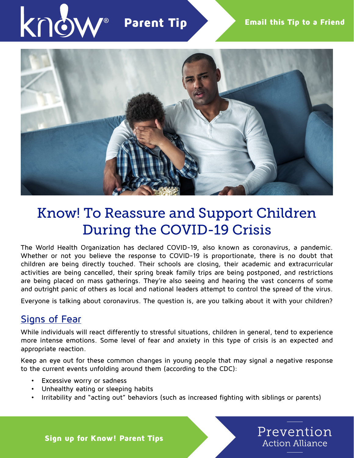

Parent Tip



# Know! To Reassure and Support Children During the COVID-19 Crisis

The World Health Organization has declared COVID-19, also known as coronavirus, a pandemic. Whether or not you believe the response to COVID-19 is proportionate, there is no doubt that children are being directly touched. Their schools are closing, their academic and extracurricular activities are being cancelled, their spring break family trips are being postponed, and restrictions are being placed on mass gatherings. They're also seeing and hearing the vast concerns of some and outright panic of others as local and national leaders attempt to control the spread of the virus.

Everyone is talking about coronavirus. The question is, are you talking about it with your children?

### Signs of Fear

While individuals will react differently to stressful situations, children in general, tend to experience more intense emotions. Some level of fear and anxiety in this type of crisis is an expected and appropriate reaction.

Keep an eye out for these common changes in young people that may signal a negative response to the current events unfolding around them (according to the CDC):

- Excessive worry or sadness
- Unhealthy eating or sleeping habits
- Irritability and "acting out" behaviors (such as increased fighting with siblings or parents)



Sign up for Know! Parent Tips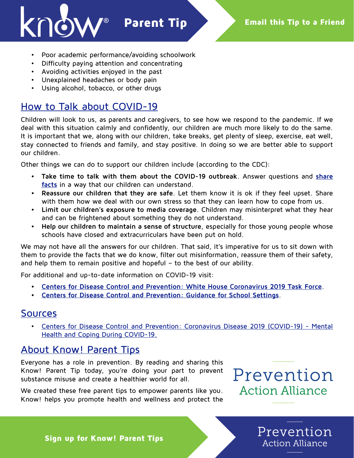

- Poor academic performance/avoiding schoolwork
- Difficulty paying attention and concentrating
- Avoiding activities enjoyed in the past
- Unexplained headaches or body pain
- Using alcohol, tobacco, or other drugs

## How to Talk about COVID-19

Children will look to us, as parents and caregivers, to see how we respond to the pandemic. If we deal with this situation calmly and confidently, our children are much more likely to do the same. It is important that we, along with our children, take breaks, get plenty of sleep, exercise, eat well, stay connected to friends and family, and stay positive. In doing so we are better able to support our children.

Other things we can do to support our children include (according to the CDC):

- **• Take time to talk with them about the COVID-19 outbreak**. Answer questions and **[share](https://www.cdc.gov/coronavirus/2019-ncov/about/share-facts.html) [facts](https://www.cdc.gov/coronavirus/2019-ncov/about/share-facts.html)** in a way that our children can understand.
- **• Reassure our children that they are safe**. Let them know it is ok if they feel upset. Share with them how we deal with our own stress so that they can learn how to cope from us.
- **• Limit our children's exposure to media coverage**. Children may misinterpret what they hear and can be frightened about something they do not understand.
- **• Help our children to maintain a sense of structure**, especially for those young people whose schools have closed and extracurriculars have been put on hold.

We may not have all the answers for our children. That said, it's imperative for us to sit down with them to provide the facts that we do know, filter out misinformation, reassure them of their safety, and help them to remain positive and hopeful – to the best of our ability.

For additional and up-to-date information on COVID-19 visit:

- **• [Centers for Disease Control and Prevention: White House Coronavirus 2019 Task Force](https://www.cdc.gov/coronavirus/2019-ncov/index.html)**.
- **• [Centers for Disease Control and Prevention: Guidance for School Settings](https://www.cdc.gov/coronavirus/2019-ncov/community/schools-childcare/index.html?deliveryName=USCDC_1009-DM22486)**.

### Sources

• [Centers for Disease Control and Prevention: Coronavirus Disease 2019 \(COVID-19\) - Mental](https://www.cdc.gov/coronavirus/2019-ncov/about/coping.html) [Health and Coping During COVID-19.](https://www.cdc.gov/coronavirus/2019-ncov/about/coping.html)

## About Know! Parent Tips

Everyone has a role in prevention. By reading and sharing this Know! Parent Tip today, you're doing your part to prevent substance misuse and create a healthier world for all.

We created these free parent tips to empower parents like you. Know! helps you promote health and wellness and protect the



Prevention

**Action Alliance** 

Sign up for Know! Parent Tips